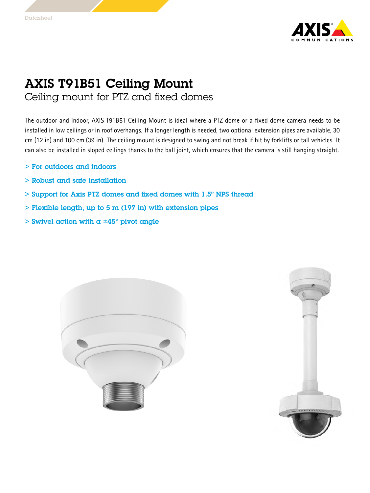

## AXIS T91B51 Ceiling Mount Ceiling mount for PTZ and fixed domes

The outdoor and indoor, AXIS T91B51 Ceiling Mount is ideal where <sup>a</sup> PTZ dome or <sup>a</sup> fixed dome camera needs to be installed in low ceilings or in roof overhangs. If <sup>a</sup> longer length is needed, two optional extension <sup>p</sup>ipes are available, <sup>30</sup> cm (12 in) and <sup>100</sup> cm (39 in). The ceiling mount is designed to swing and not break if hit by forklifts or tall vehicles. It can also be installed in sloped ceilings thanks to the ball joint, which ensures that the camera is still hanging straight.

- <sup>&</sup>gt; For outdoors and indoors
- <sup>&</sup>gt; Robust and safe installation
- <sup>&</sup>gt; Support for Axis PTZ domes and fixed domes with 1.5" NPS thread
- <sup>&</sup>gt; Flexible length, up to <sup>5</sup> <sup>m</sup> (197 in) with extension pipes
- $>$  Swivel action with a  $\pm 45^{\circ}$  pivot angle